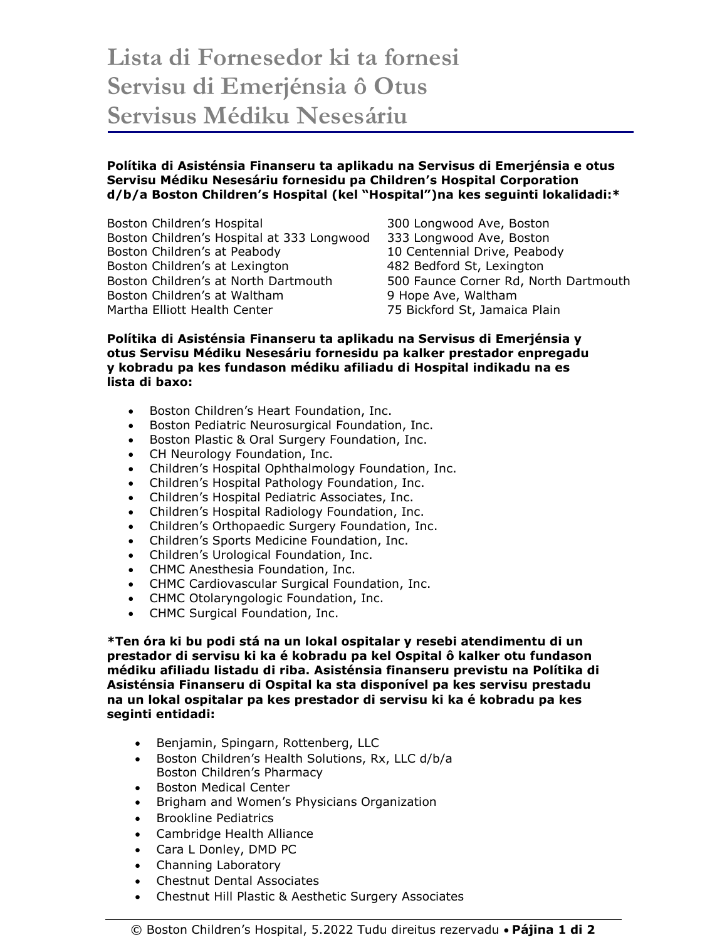## **Lista di Fornesedor ki ta fornesi Servisu di Emerjénsia ô Otus Servisus Médiku Nesesáriu**

## **Polítika di Asisténsia Finanseru ta aplikadu na Servisus di Emerjénsia e otus Servisu Médiku Nesesáriu fornesidu pa Children's Hospital Corporation d/b/a Boston Children's Hospital (kel "Hospital")na kes seguinti lokalidadi:\***

Boston Children's Hospital 300 Longwood Ave, Boston Boston Children's Hospital at 333 Longwood 333 Longwood Ave, Boston Boston Children's at Peabody 10 Centennial Drive, Peabody Boston Children's at Lexington 482 Bedford St, Lexington Boston Children's at North Dartmouth 500 Faunce Corner Rd, North Dartmouth Boston Children's at Waltham 9 Hope Ave, Waltham Martha Elliott Health Center 75 Bickford St, Jamaica Plain

## **Polítika di Asisténsia Finanseru ta aplikadu na Servisus di Emerjénsia y otus Servisu Médiku Nesesáriu fornesidu pa kalker prestador enpregadu y kobradu pa kes fundason médiku afiliadu di Hospital indikadu na es lista di baxo:**

- Boston Children's Heart Foundation, Inc.
- **•** Boston Pediatric Neurosurgical Foundation, Inc.
- **•** Boston Plastic & Oral Surgery Foundation, Inc.
- CH Neurology Foundation, Inc.
- Children's Hospital Ophthalmology Foundation, Inc.
- Children's Hospital Pathology Foundation, Inc.
- Children's Hospital Pediatric Associates, Inc.
- Children's Hospital Radiology Foundation, Inc.
- Children's Orthopaedic Surgery Foundation, Inc.
- Children's Sports Medicine Foundation, Inc.
- Children's Urological Foundation, Inc.
- CHMC Anesthesia Foundation, Inc.
- CHMC Cardiovascular Surgical Foundation, Inc.
- CHMC Otolaryngologic Foundation, Inc.
- CHMC Surgical Foundation, Inc.

**\*Ten óra ki bu podi stá na un lokal ospitalar y resebi atendimentu di un prestador di servisu ki ka é kobradu pa kel Ospital ô kalker otu fundason médiku afiliadu listadu di riba. Asisténsia finanseru previstu na Polítika di Asisténsia Finanseru di Ospital ka sta disponível pa kes servisu prestadu na un lokal ospitalar pa kes prestador di servisu ki ka é kobradu pa kes seginti entidadi:**

- Benjamin, Spingarn, Rottenberg, LLC
- Boston Children's Health Solutions, Rx, LLC d/b/a Boston Children's Pharmacy
- Boston Medical Center
- Brigham and Women's Physicians Organization
- Brookline Pediatrics
- Cambridge Health Alliance
- Cara L Donley, DMD PC
- Channing Laboratory
- Chestnut Dental Associates
- Chestnut Hill Plastic & Aesthetic Surgery Associates